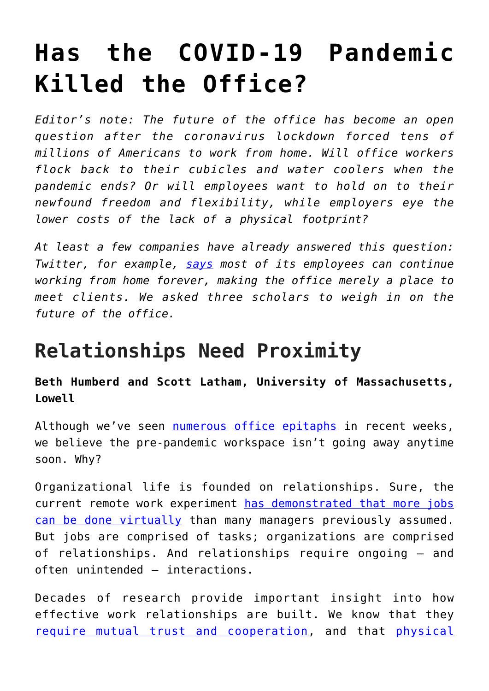## **[Has the COVID-19 Pandemic](https://intellectualtakeout.org/2020/07/has-the-covid-19-pandemic-killed-the-office/) [Killed the Office?](https://intellectualtakeout.org/2020/07/has-the-covid-19-pandemic-killed-the-office/)**

*Editor's note: The future of the office has become an open question after the coronavirus lockdown forced tens of millions of Americans to work from home. Will office workers flock back to their cubicles and water coolers when the pandemic ends? Or will employees want to hold on to their newfound freedom and flexibility, while employers eye the lower costs of the lack of a physical footprint?*

*At least a few companies have already answered this question: Twitter, for example, [says](https://www.bbc.com/news/technology-52628119) most of its employees can continue working from home forever, making the office merely a place to meet clients. We asked three scholars to weigh in on the future of the office.*

## **Relationships Need Proximity**

**Beth Humberd and Scott Latham, University of Massachusetts, Lowell**

Although we've seen [numerous](https://www.nytimes.com/2020/05/04/health/coronavirus-office-makeover.html) [office](https://www.economist.com/1843/2020/04/29/death-of-the-office) [epitaphs](https://www.businessinsider.com/coronavirus-pandemic-wont-kill-office-but-it-will-change-forever-2020-4) in recent weeks, we believe the pre-pandemic workspace isn't going away anytime soon. Why?

Organizational life is founded on relationships. Sure, the current remote work experiment [has demonstrated that more jobs](https://www.nytimes.com/interactive/2020/06/09/magazine/remote-work-covid.html) [can be done virtually](https://www.nytimes.com/interactive/2020/06/09/magazine/remote-work-covid.html) than many managers previously assumed. But jobs are comprised of tasks; organizations are comprised of relationships. And relationships require ongoing – and often unintended – interactions.

Decades of research provide important insight into how effective work relationships are built. We know that they [require mutual trust and cooperation](https://ssir.org/articles/entry/fostering_high_quality_connections), and that [physical](https://www.doi.org/10.5465/amr.2016.0240)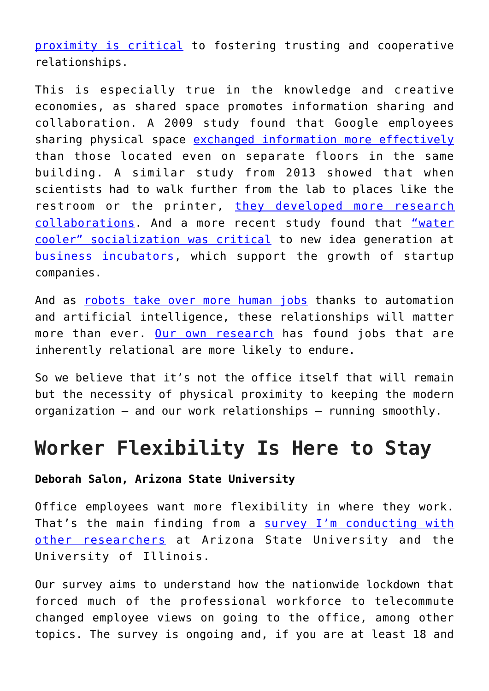[proximity is critical](https://www.doi.org/10.5465/amr.2016.0240) to fostering trusting and cooperative relationships.

This is especially true in the knowledge and creative economies, as shared space promotes information sharing and collaboration. A 2009 study found that Google employees sharing physical space [exchanged information more effectively](https://doi.org/10.1007/978-3-642-03821-1_2) than those located even on separate floors in the same building. A similar study from 2013 showed that when scientists had to walk further from the lab to places like the restroom or the printer, [they developed more research](https://doi.org/10.1177/0013916513493909) [collaborations.](https://doi.org/10.1177/0013916513493909) And a more recent study found that ["water](https://www.doi.org/10.1111/radm.12261) [cooler" socialization was critical](https://www.doi.org/10.1111/radm.12261) to new idea generation at [business incubators](https://www.entrepreneur.com/article/52802), which support the growth of startup companies.

And as [robots take over more human jobs](https://www.motherjones.com/politics/2017/10/you-will-lose-your-job-to-a-robot-and-sooner-than-you-think/) thanks to automation and artificial intelligence, these relationships will matter more than ever. [Our own research](https://sloanreview.mit.edu/article/four-ways-jobs-will-respond-to-automation/) has found jobs that are inherently relational are more likely to endure.

So we believe that it's not the office itself that will remain but the necessity of physical proximity to keeping the modern organization – and our work relationships – running smoothly.

## **Worker Flexibility Is Here to Stay**

## **Deborah Salon, Arizona State University**

Office employees want more flexibility in where they work. That's the main finding from a [survey I'm conducting with](https://www.covidfuture.org) [other researchers](https://www.covidfuture.org) at Arizona State University and the University of Illinois.

Our survey aims to understand how the nationwide lockdown that forced much of the professional workforce to telecommute changed employee views on going to the office, among other topics. The survey is ongoing and, if you are at least 18 and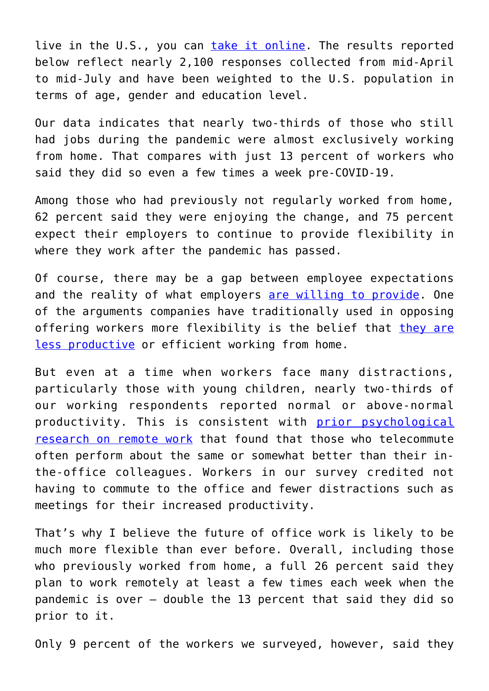live in the U.S., you can [take it online.](https://asu.co1.qualtrics.com/jfe/form/SV_6sSpYqN0Eko5Dmt?org=covidfuture_homepage) The results reported below reflect nearly 2,100 responses collected from mid-April to mid-July and have been weighted to the U.S. population in terms of age, gender and education level.

Our data indicates that nearly two-thirds of those who still had jobs during the pandemic were almost exclusively working from home. That compares with just 13 percent of workers who said they did so even a few times a week pre-COVID-19.

Among those who had previously not regularly worked from home, 62 percent said they were enjoying the change, and 75 percent expect their employers to continue to provide flexibility in where they work after the pandemic has passed.

Of course, there may be a gap between employee expectations and the reality of what employers [are willing to provide](https://www.bls.gov/ncs/ebs/benefits/2019/ownership/civilian/table39a.pdf). One of the arguments companies have traditionally used in opposing offering workers more flexibility is the belief that [they are](https://www.wired.com/insights/2013/05/yahoos-mayer-is-right-work-from-home-employees-are-less-efficient/) [less productive](https://www.wired.com/insights/2013/05/yahoos-mayer-is-right-work-from-home-employees-are-less-efficient/) or efficient working from home.

But even at a time when workers face many distractions, particularly those with young children, nearly two-thirds of our working respondents reported normal or above-normal productivity. This is consistent with [prior psychological](https://www.apa.org/monitor/2019/10/cover-remote-work) [research on remote work](https://www.apa.org/monitor/2019/10/cover-remote-work) that found that those who telecommute often perform about the same or somewhat better than their inthe-office colleagues. Workers in our survey credited not having to commute to the office and fewer distractions such as meetings for their increased productivity.

That's why I believe the future of office work is likely to be much more flexible than ever before. Overall, including those who previously worked from home, a full 26 percent said they plan to work remotely at least a few times each week when the pandemic is over – double the 13 percent that said they did so prior to it.

Only 9 percent of the workers we surveyed, however, said they